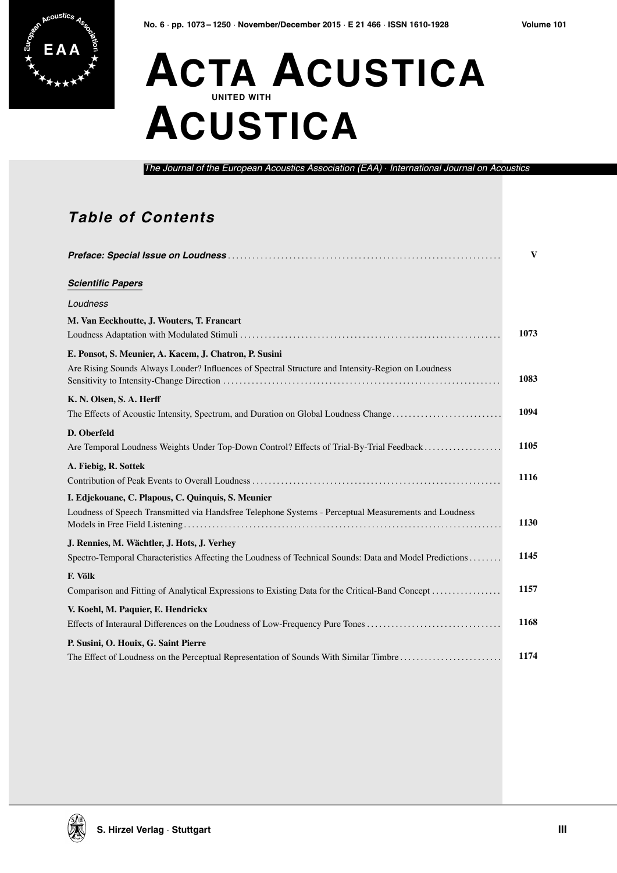

## EAA<sup></sup> **ACTA ACUSTICA ACUSTICA**

*The Journal of the European Acoustics Association (EAA)* · *International Journal on Acoustics*

## **Table of Contents**

|                                                                                                                     | $\mathbf{V}$ |
|---------------------------------------------------------------------------------------------------------------------|--------------|
| <b>Scientific Papers</b>                                                                                            |              |
| Loudness                                                                                                            |              |
| M. Van Eeckhoutte, J. Wouters, T. Francart                                                                          | 1073         |
| E. Ponsot, S. Meunier, A. Kacem, J. Chatron, P. Susini                                                              |              |
| Are Rising Sounds Always Louder? Influences of Spectral Structure and Intensity-Region on Loudness                  | 1083         |
| K. N. Olsen, S. A. Herff                                                                                            |              |
| The Effects of Acoustic Intensity, Spectrum, and Duration on Global Loudness Change                                 | 1094         |
| D. Oberfeld                                                                                                         |              |
| Are Temporal Loudness Weights Under Top-Down Control? Effects of Trial-By-Trial Feedback                            | 1105         |
| A. Fiebig, R. Sottek                                                                                                | 1116         |
| I. Edjekouane, C. Plapous, C. Quinquis, S. Meunier                                                                  |              |
| Loudness of Speech Transmitted via Handsfree Telephone Systems - Perceptual Measurements and Loudness               | 1130         |
| J. Rennies, M. Wächtler, J. Hots, J. Verhey                                                                         |              |
| Spectro-Temporal Characteristics Affecting the Loudness of Technical Sounds: Data and Model Predictions             | 1145         |
| F. Völk                                                                                                             |              |
|                                                                                                                     | 1157         |
| V. Koehl, M. Paquier, E. Hendrickx<br>Effects of Interaural Differences on the Loudness of Low-Frequency Pure Tones | 1168         |
| P. Susini, O. Houix, G. Saint Pierre                                                                                |              |
| The Effect of Loudness on the Perceptual Representation of Sounds With Similar Timbre                               | 1174         |